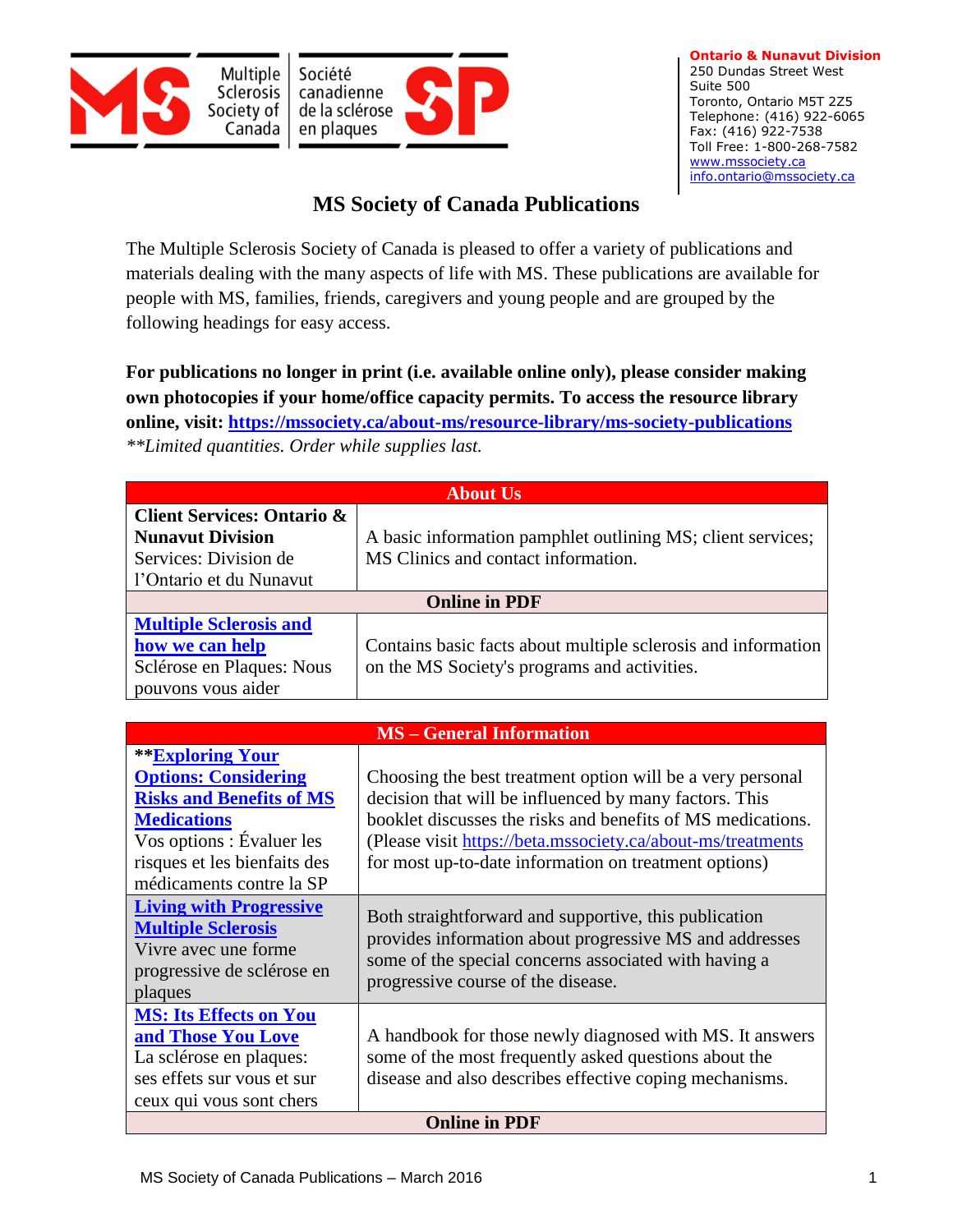



**Ontario & Nunavut Division**  250 Dundas Street West Suite 500 Toronto, Ontario M5T 2Z5 Telephone: (416) 922-6065 Fax: (416) 922-7538 Toll Free: 1-800-268-7582 [www.mssociety.ca](http://www.mssociety.ca/) [info.ontario@mssociety.ca](mailto:info.ontario@mssociety.ca)

## **MS Society of Canada Publications**

The Multiple Sclerosis Society of Canada is pleased to offer a variety of publications and materials dealing with the many aspects of life with MS. These publications are available for people with MS, families, friends, caregivers and young people and are grouped by the following headings for easy access.

**For publications no longer in print (i.e. available online only), please consider making own photocopies if your home/office capacity permits. To access the resource library online, visit:<https://mssociety.ca/about-ms/resource-library/ms-society-publications>** *\*\*Limited quantities. Order while supplies last.*

| <b>About Us</b>                                                  |                                                                                                    |  |
|------------------------------------------------------------------|----------------------------------------------------------------------------------------------------|--|
| <b>Client Services: Ontario &amp;</b><br><b>Nunavut Division</b> |                                                                                                    |  |
| Services: Division de                                            | A basic information pamphlet outlining MS; client services;<br>MS Clinics and contact information. |  |
| l'Ontario et du Nunavut                                          |                                                                                                    |  |
| <b>Online in PDF</b>                                             |                                                                                                    |  |
| <b>Multiple Sclerosis and</b>                                    |                                                                                                    |  |
| how we can help                                                  | Contains basic facts about multiple sclerosis and information                                      |  |
| Sclérose en Plaques: Nous                                        | on the MS Society's programs and activities.                                                       |  |
| pouvons vous aider                                               |                                                                                                    |  |

| <b>MS</b> – General Information                                                                                                          |                                                                                                                                                                                                                 |  |
|------------------------------------------------------------------------------------------------------------------------------------------|-----------------------------------------------------------------------------------------------------------------------------------------------------------------------------------------------------------------|--|
| <b>**Exploring Your</b>                                                                                                                  |                                                                                                                                                                                                                 |  |
| <b>Options: Considering</b>                                                                                                              | Choosing the best treatment option will be a very personal                                                                                                                                                      |  |
| <b>Risks and Benefits of MS</b>                                                                                                          | decision that will be influenced by many factors. This                                                                                                                                                          |  |
| <b>Medications</b>                                                                                                                       | booklet discusses the risks and benefits of MS medications.                                                                                                                                                     |  |
| Vos options : Évaluer les                                                                                                                | (Please visit https://beta.mssociety.ca/about-ms/treatments                                                                                                                                                     |  |
| risques et les bienfaits des                                                                                                             | for most up-to-date information on treatment options)                                                                                                                                                           |  |
| médicaments contre la SP                                                                                                                 |                                                                                                                                                                                                                 |  |
| <b>Living with Progressive</b><br><b>Multiple Sclerosis</b><br>Vivre avec une forme<br>progressive de sclérose en<br>plaques             | Both straightforward and supportive, this publication<br>provides information about progressive MS and addresses<br>some of the special concerns associated with having a<br>progressive course of the disease. |  |
| <b>MS: Its Effects on You</b><br>and Those You Love<br>La sclérose en plaques:<br>ses effets sur vous et sur<br>ceux qui vous sont chers | A handbook for those newly diagnosed with MS. It answers<br>some of the most frequently asked questions about the<br>disease and also describes effective coping mechanisms.                                    |  |
| <b>Online in PDF</b>                                                                                                                     |                                                                                                                                                                                                                 |  |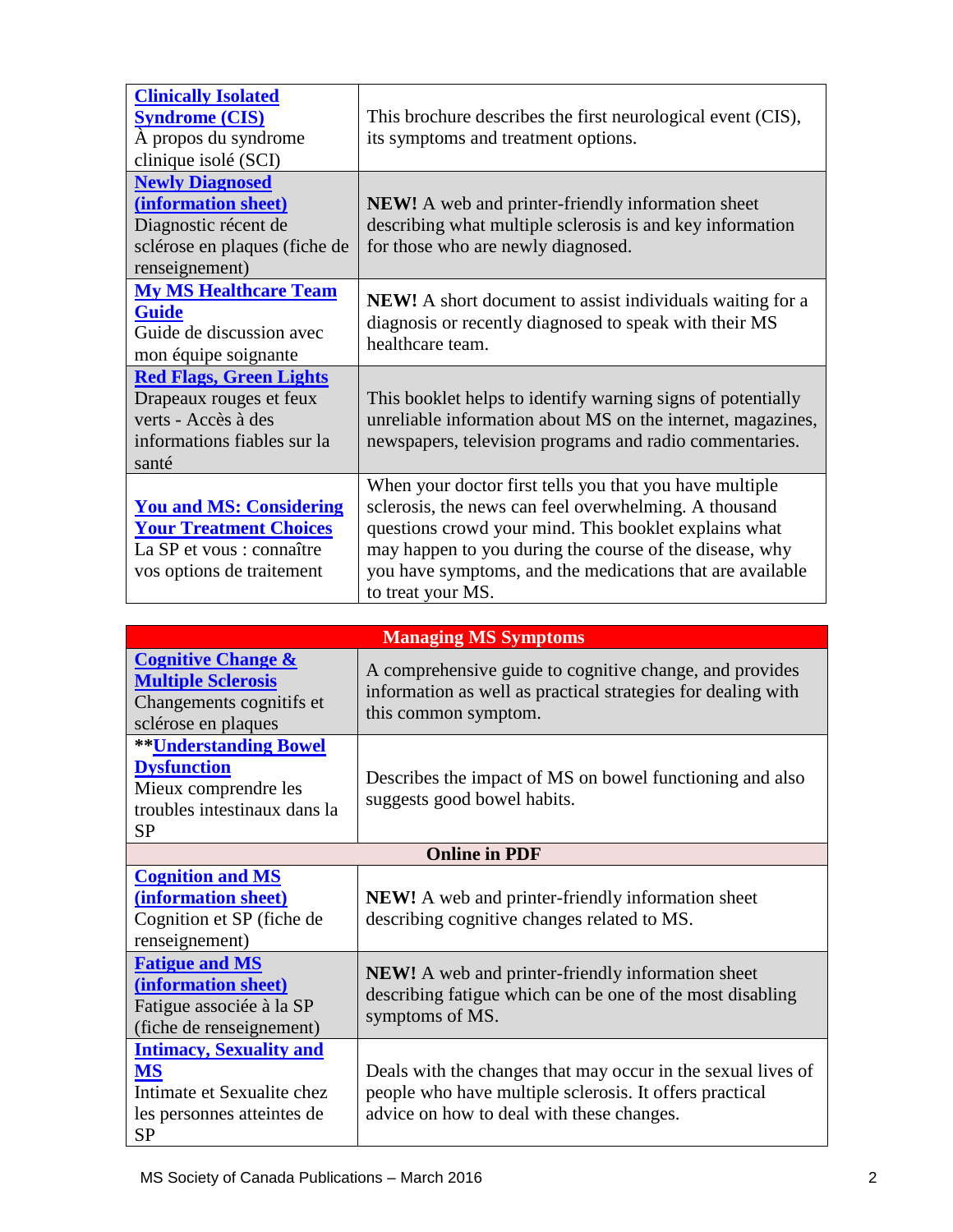| <b>Clinically Isolated</b><br><b>Syndrome (CIS)</b><br>A propos du syndrome<br>clinique isolé (SCI)                       | This brochure describes the first neurological event (CIS),<br>its symptoms and treatment options.                                                                                                                                                                                                                     |
|---------------------------------------------------------------------------------------------------------------------------|------------------------------------------------------------------------------------------------------------------------------------------------------------------------------------------------------------------------------------------------------------------------------------------------------------------------|
| <b>Newly Diagnosed</b><br>(information sheet)<br>Diagnostic récent de<br>sclérose en plaques (fiche de<br>renseignement)  | <b>NEW!</b> A web and printer-friendly information sheet<br>describing what multiple sclerosis is and key information<br>for those who are newly diagnosed.                                                                                                                                                            |
| <b>My MS Healthcare Team</b><br><b>Guide</b><br>Guide de discussion avec<br>mon équipe soignante                          | <b>NEW!</b> A short document to assist individuals waiting for a<br>diagnosis or recently diagnosed to speak with their MS<br>healthcare team.                                                                                                                                                                         |
| <b>Red Flags, Green Lights</b><br>Drapeaux rouges et feux<br>verts - Accès à des<br>informations fiables sur la<br>santé  | This booklet helps to identify warning signs of potentially<br>unreliable information about MS on the internet, magazines,<br>newspapers, television programs and radio commentaries.                                                                                                                                  |
| <b>You and MS: Considering</b><br><b>Your Treatment Choices</b><br>La SP et vous : connaître<br>vos options de traitement | When your doctor first tells you that you have multiple<br>sclerosis, the news can feel overwhelming. A thousand<br>questions crowd your mind. This booklet explains what<br>may happen to you during the course of the disease, why<br>you have symptoms, and the medications that are available<br>to treat your MS. |

| <b>Managing MS Symptoms</b>                                                                                                       |                                                                                                                                                                      |  |
|-----------------------------------------------------------------------------------------------------------------------------------|----------------------------------------------------------------------------------------------------------------------------------------------------------------------|--|
| <b>Cognitive Change &amp;</b><br><b>Multiple Sclerosis</b><br>Changements cognitifs et<br>sclérose en plaques                     | A comprehensive guide to cognitive change, and provides<br>information as well as practical strategies for dealing with<br>this common symptom.                      |  |
| <b>**Understanding Bowel</b><br><b>Dysfunction</b><br>Mieux comprendre les<br>troubles intestinaux dans la<br><b>SP</b>           | Describes the impact of MS on bowel functioning and also<br>suggests good bowel habits.                                                                              |  |
|                                                                                                                                   | <b>Online in PDF</b>                                                                                                                                                 |  |
| <b>Cognition and MS</b><br>(information sheet)<br>Cognition et SP (fiche de<br>renseignement)                                     | <b>NEW!</b> A web and printer-friendly information sheet<br>describing cognitive changes related to MS.                                                              |  |
| <b>Fatigue and MS</b><br>(information sheet)<br>Fatigue associée à la SP<br>(fiche de renseignement)                              | <b>NEW!</b> A web and printer-friendly information sheet<br>describing fatigue which can be one of the most disabling<br>symptoms of MS.                             |  |
| <b>Intimacy, Sexuality and</b><br>$\overline{\text{MS}}$<br>Intimate et Sexualite chez<br>les personnes atteintes de<br><b>SP</b> | Deals with the changes that may occur in the sexual lives of<br>people who have multiple sclerosis. It offers practical<br>advice on how to deal with these changes. |  |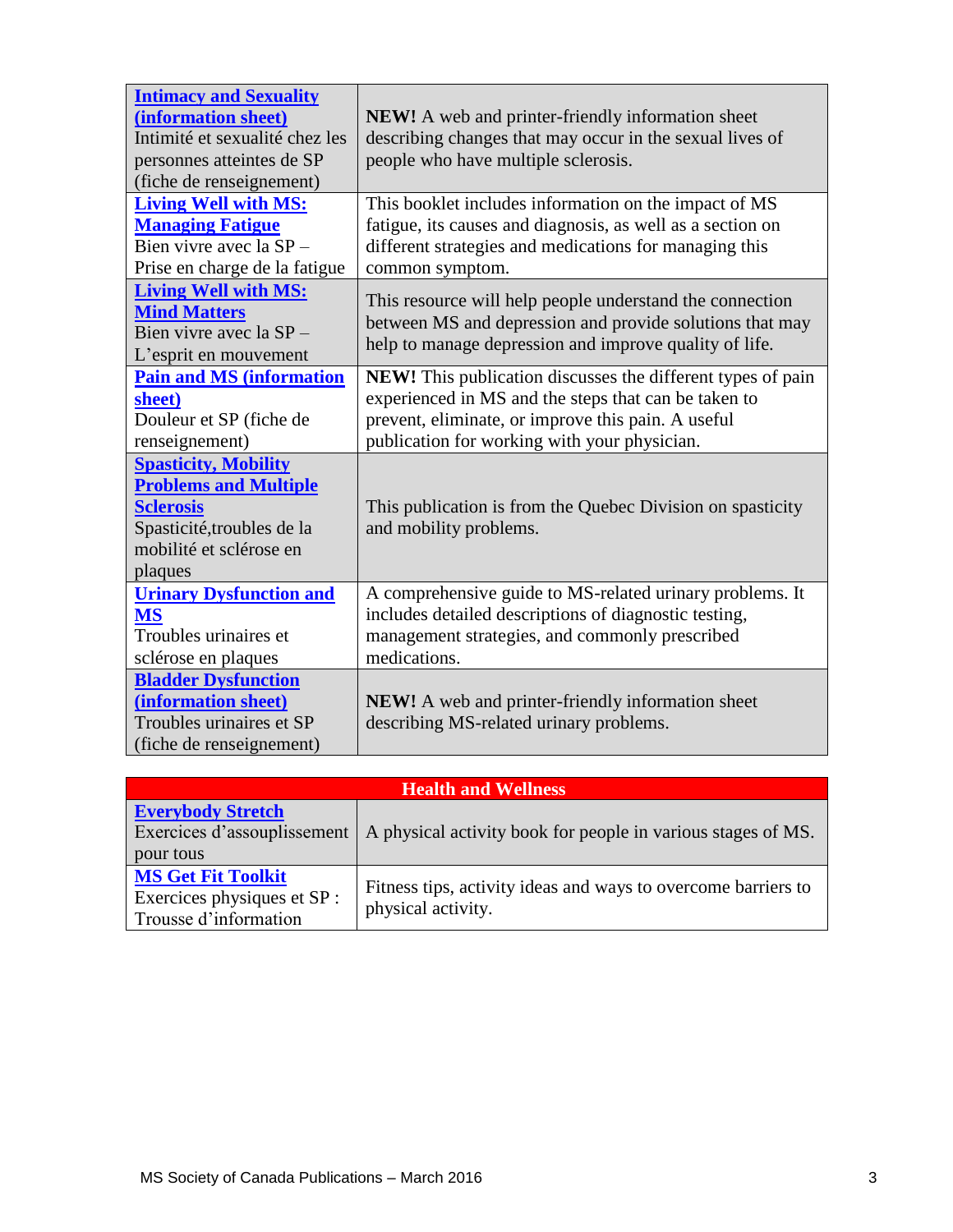| <b>Intimacy and Sexuality</b><br>(information sheet)<br>Intimité et sexualité chez les<br>personnes atteintes de SP<br>(fiche de renseignement)     | <b>NEW!</b> A web and printer-friendly information sheet<br>describing changes that may occur in the sexual lives of<br>people who have multiple sclerosis.                                                               |
|-----------------------------------------------------------------------------------------------------------------------------------------------------|---------------------------------------------------------------------------------------------------------------------------------------------------------------------------------------------------------------------------|
| <b>Living Well with MS:</b><br><b>Managing Fatigue</b><br>Bien vivre avec la SP-<br>Prise en charge de la fatigue                                   | This booklet includes information on the impact of MS<br>fatigue, its causes and diagnosis, as well as a section on<br>different strategies and medications for managing this<br>common symptom.                          |
| <b>Living Well with MS:</b><br><b>Mind Matters</b><br>Bien vivre avec la SP-<br>L'esprit en mouvement                                               | This resource will help people understand the connection<br>between MS and depression and provide solutions that may<br>help to manage depression and improve quality of life.                                            |
| <b>Pain and MS (information</b><br>sheet)<br>Douleur et SP (fiche de<br>renseignement)                                                              | NEW! This publication discusses the different types of pain<br>experienced in MS and the steps that can be taken to<br>prevent, eliminate, or improve this pain. A useful<br>publication for working with your physician. |
| <b>Spasticity, Mobility</b><br><b>Problems and Multiple</b><br><b>Sclerosis</b><br>Spasticité, troubles de la<br>mobilité et sclérose en<br>plaques | This publication is from the Quebec Division on spasticity<br>and mobility problems.                                                                                                                                      |
| <b>Urinary Dysfunction and</b><br><b>MS</b><br>Troubles urinaires et<br>sclérose en plaques                                                         | A comprehensive guide to MS-related urinary problems. It<br>includes detailed descriptions of diagnostic testing,<br>management strategies, and commonly prescribed<br>medications.                                       |
| <b>Bladder Dysfunction</b><br>(information sheet)<br>Troubles urinaires et SP<br>(fiche de renseignement)                                           | NEW! A web and printer-friendly information sheet<br>describing MS-related urinary problems.                                                                                                                              |

| <b>Health and Wellness</b>                                                        |                                                                                     |
|-----------------------------------------------------------------------------------|-------------------------------------------------------------------------------------|
| <b>Everybody Stretch</b><br>Exercices d'assouplissement<br>pour tous              | A physical activity book for people in various stages of MS.                        |
| <b>MS Get Fit Toolkit</b><br>Exercices physiques et SP :<br>Trousse d'information | Fitness tips, activity ideas and ways to overcome barriers to<br>physical activity. |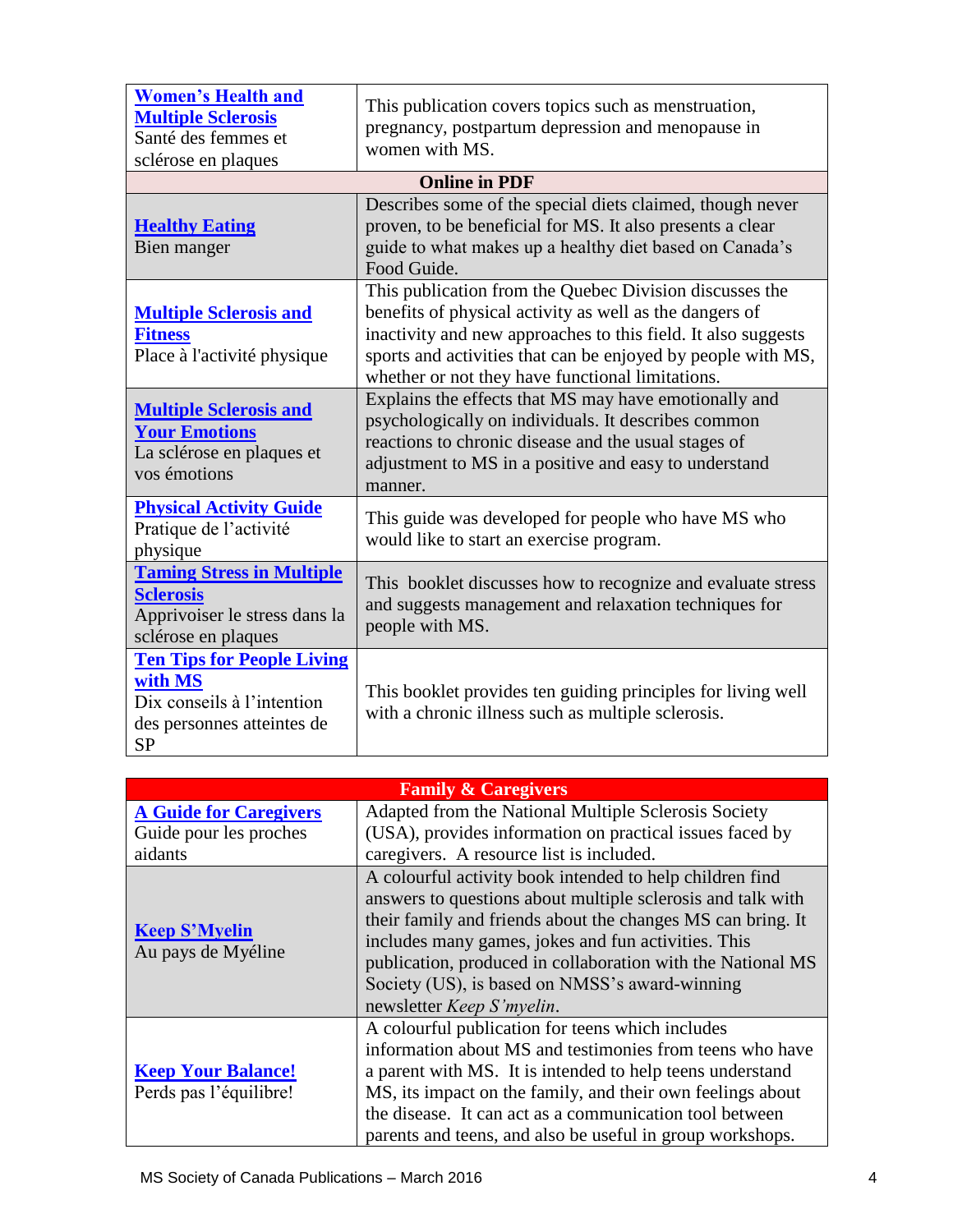| <b>Women's Health and</b><br><b>Multiple Sclerosis</b><br>Santé des femmes et<br>sclérose en plaques                  | This publication covers topics such as menstruation,<br>pregnancy, postpartum depression and menopause in<br>women with MS.                                                                                                                                                                             |
|-----------------------------------------------------------------------------------------------------------------------|---------------------------------------------------------------------------------------------------------------------------------------------------------------------------------------------------------------------------------------------------------------------------------------------------------|
|                                                                                                                       | <b>Online in PDF</b>                                                                                                                                                                                                                                                                                    |
| <b>Healthy Eating</b><br>Bien manger                                                                                  | Describes some of the special diets claimed, though never<br>proven, to be beneficial for MS. It also presents a clear<br>guide to what makes up a healthy diet based on Canada's<br>Food Guide.                                                                                                        |
| <b>Multiple Sclerosis and</b><br><b>Fitness</b><br>Place à l'activité physique                                        | This publication from the Quebec Division discusses the<br>benefits of physical activity as well as the dangers of<br>inactivity and new approaches to this field. It also suggests<br>sports and activities that can be enjoyed by people with MS,<br>whether or not they have functional limitations. |
| <b>Multiple Sclerosis and</b><br><b>Your Emotions</b><br>La sclérose en plaques et<br>vos émotions                    | Explains the effects that MS may have emotionally and<br>psychologically on individuals. It describes common<br>reactions to chronic disease and the usual stages of<br>adjustment to MS in a positive and easy to understand<br>manner.                                                                |
| <b>Physical Activity Guide</b><br>Pratique de l'activité<br>physique                                                  | This guide was developed for people who have MS who<br>would like to start an exercise program.                                                                                                                                                                                                         |
| <b>Taming Stress in Multiple</b><br><b>Sclerosis</b><br>Apprivoiser le stress dans la<br>sclérose en plaques          | This booklet discusses how to recognize and evaluate stress<br>and suggests management and relaxation techniques for<br>people with MS.                                                                                                                                                                 |
| <b>Ten Tips for People Living</b><br>with MS<br>Dix conseils à l'intention<br>des personnes atteintes de<br><b>SP</b> | This booklet provides ten guiding principles for living well<br>with a chronic illness such as multiple sclerosis.                                                                                                                                                                                      |

| <b>Family &amp; Caregivers</b>                      |                                                                                                                                                                                                                                                                                                                                                                                             |
|-----------------------------------------------------|---------------------------------------------------------------------------------------------------------------------------------------------------------------------------------------------------------------------------------------------------------------------------------------------------------------------------------------------------------------------------------------------|
| <b>A Guide for Caregivers</b>                       | Adapted from the National Multiple Sclerosis Society                                                                                                                                                                                                                                                                                                                                        |
| Guide pour les proches                              | (USA), provides information on practical issues faced by                                                                                                                                                                                                                                                                                                                                    |
| aidants                                             | caregivers. A resource list is included.                                                                                                                                                                                                                                                                                                                                                    |
| <b>Keep S'Myelin</b><br>Au pays de Myéline          | A colourful activity book intended to help children find<br>answers to questions about multiple sclerosis and talk with<br>their family and friends about the changes MS can bring. It<br>includes many games, jokes and fun activities. This<br>publication, produced in collaboration with the National MS<br>Society (US), is based on NMSS's award-winning<br>newsletter Keep S'myelin. |
| <b>Keep Your Balance!</b><br>Perds pas l'équilibre! | A colourful publication for teens which includes<br>information about MS and testimonies from teens who have<br>a parent with MS. It is intended to help teens understand<br>MS, its impact on the family, and their own feelings about<br>the disease. It can act as a communication tool between<br>parents and teens, and also be useful in group workshops.                             |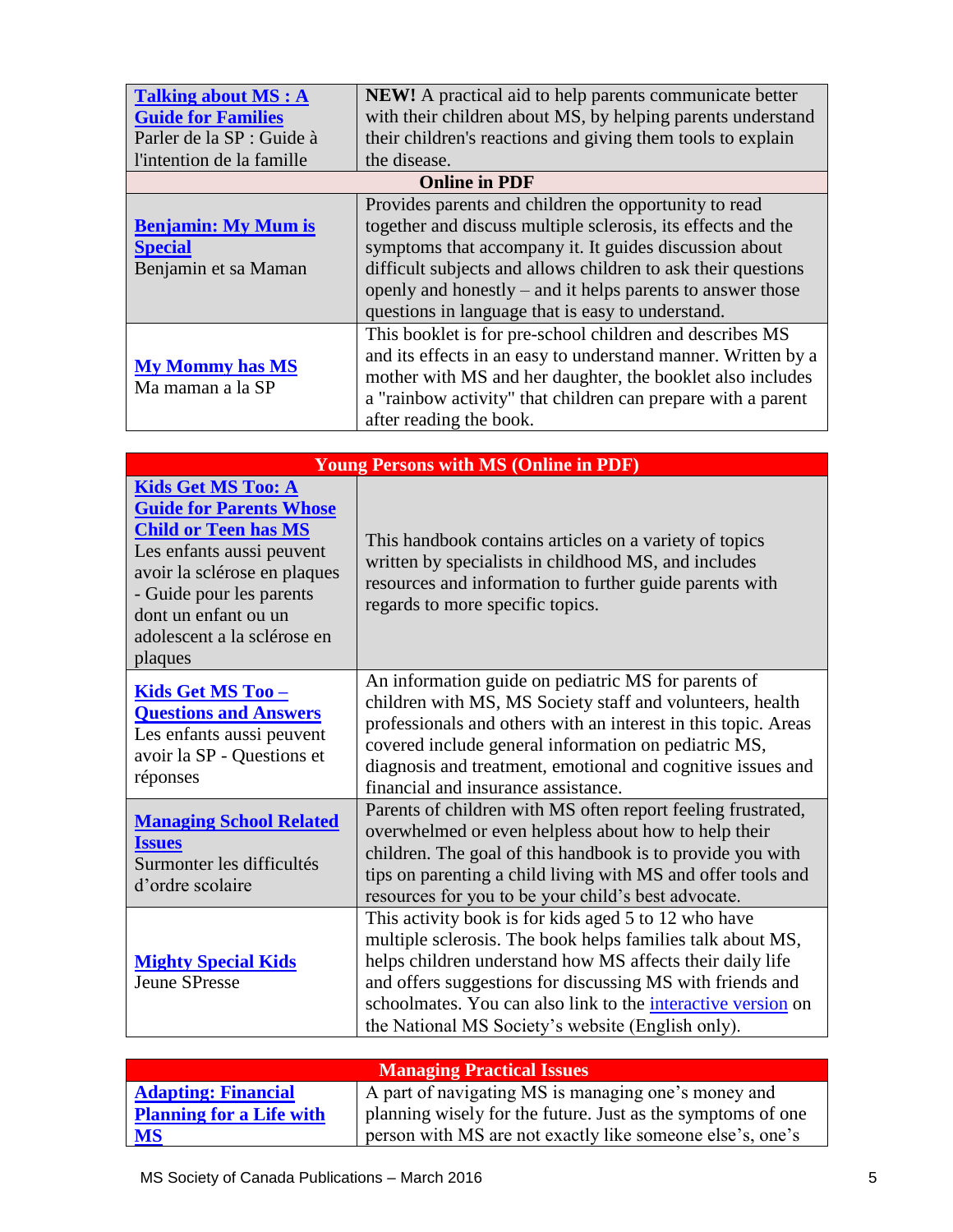| <b>Talking about MS: A</b><br><b>Guide for Families</b><br>Parler de la SP : Guide à<br>l'intention de la famille | <b>NEW!</b> A practical aid to help parents communicate better<br>with their children about MS, by helping parents understand<br>their children's reactions and giving them tools to explain<br>the disease.                                                                                                                                                        |
|-------------------------------------------------------------------------------------------------------------------|---------------------------------------------------------------------------------------------------------------------------------------------------------------------------------------------------------------------------------------------------------------------------------------------------------------------------------------------------------------------|
|                                                                                                                   | <b>Online in PDF</b>                                                                                                                                                                                                                                                                                                                                                |
| <b>Benjamin: My Mum is</b><br><b>Special</b><br>Benjamin et sa Maman                                              | Provides parents and children the opportunity to read<br>together and discuss multiple sclerosis, its effects and the<br>symptoms that accompany it. It guides discussion about<br>difficult subjects and allows children to ask their questions<br>openly and honestly – and it helps parents to answer those<br>questions in language that is easy to understand. |
| <b>My Mommy has MS</b><br>Ma maman a la SP                                                                        | This booklet is for pre-school children and describes MS<br>and its effects in an easy to understand manner. Written by a<br>mother with MS and her daughter, the booklet also includes<br>a "rainbow activity" that children can prepare with a parent<br>after reading the book.                                                                                  |

| <b>Young Persons with MS (Online in PDF)</b>                                                                                                                                                                                                          |                                                                                                                                                                                                                                                                                                                                                                   |
|-------------------------------------------------------------------------------------------------------------------------------------------------------------------------------------------------------------------------------------------------------|-------------------------------------------------------------------------------------------------------------------------------------------------------------------------------------------------------------------------------------------------------------------------------------------------------------------------------------------------------------------|
| <b>Kids Get MS Too: A</b><br><b>Guide for Parents Whose</b><br><b>Child or Teen has MS</b><br>Les enfants aussi peuvent<br>avoir la sclérose en plaques<br>- Guide pour les parents<br>dont un enfant ou un<br>adolescent a la sclérose en<br>plaques | This handbook contains articles on a variety of topics<br>written by specialists in childhood MS, and includes<br>resources and information to further guide parents with<br>regards to more specific topics.                                                                                                                                                     |
| <u>Kids Get MS Too – </u><br><b>Questions and Answers</b><br>Les enfants aussi peuvent<br>avoir la SP - Questions et<br>réponses                                                                                                                      | An information guide on pediatric MS for parents of<br>children with MS, MS Society staff and volunteers, health<br>professionals and others with an interest in this topic. Areas<br>covered include general information on pediatric MS,<br>diagnosis and treatment, emotional and cognitive issues and<br>financial and insurance assistance.                  |
| <b>Managing School Related</b><br><b>Issues</b><br>Surmonter les difficultés<br>d'ordre scolaire                                                                                                                                                      | Parents of children with MS often report feeling frustrated,<br>overwhelmed or even helpless about how to help their<br>children. The goal of this handbook is to provide you with<br>tips on parenting a child living with MS and offer tools and<br>resources for you to be your child's best advocate.                                                         |
| <b>Mighty Special Kids</b><br><b>Jeune SPresse</b>                                                                                                                                                                                                    | This activity book is for kids aged 5 to 12 who have<br>multiple sclerosis. The book helps families talk about MS,<br>helps children understand how MS affects their daily life<br>and offers suggestions for discussing MS with friends and<br>schoolmates. You can also link to the interactive version on<br>the National MS Society's website (English only). |

| <b>Managing Practical Issues</b> |                                                             |
|----------------------------------|-------------------------------------------------------------|
| <b>Adapting: Financial</b>       | A part of navigating MS is managing one's money and         |
| <b>Planning for a Life with</b>  | planning wisely for the future. Just as the symptoms of one |
| <b>MS</b>                        | person with MS are not exactly like someone else's, one's   |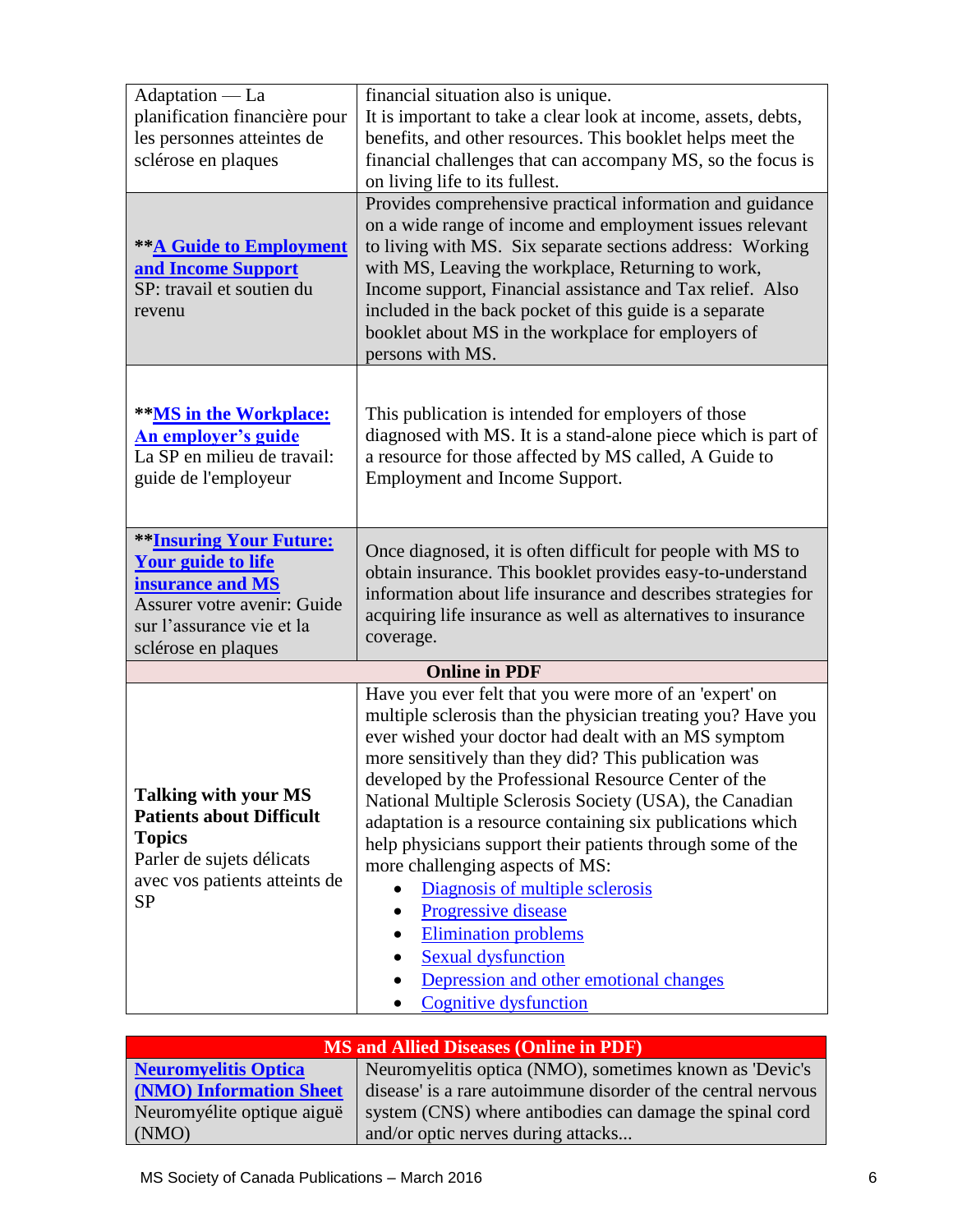| Adaptation — La                                                                                                                                                           | financial situation also is unique.                                                                                                                                                                                                                                                                                                                                                                                                                                                                                                                                                                                                                                                                                                    |  |
|---------------------------------------------------------------------------------------------------------------------------------------------------------------------------|----------------------------------------------------------------------------------------------------------------------------------------------------------------------------------------------------------------------------------------------------------------------------------------------------------------------------------------------------------------------------------------------------------------------------------------------------------------------------------------------------------------------------------------------------------------------------------------------------------------------------------------------------------------------------------------------------------------------------------------|--|
| planification financière pour                                                                                                                                             | It is important to take a clear look at income, assets, debts,                                                                                                                                                                                                                                                                                                                                                                                                                                                                                                                                                                                                                                                                         |  |
| les personnes atteintes de                                                                                                                                                | benefits, and other resources. This booklet helps meet the                                                                                                                                                                                                                                                                                                                                                                                                                                                                                                                                                                                                                                                                             |  |
| sclérose en plaques                                                                                                                                                       | financial challenges that can accompany MS, so the focus is                                                                                                                                                                                                                                                                                                                                                                                                                                                                                                                                                                                                                                                                            |  |
|                                                                                                                                                                           | on living life to its fullest.                                                                                                                                                                                                                                                                                                                                                                                                                                                                                                                                                                                                                                                                                                         |  |
| <b>** A Guide to Employment</b><br>and Income Support<br>SP: travail et soutien du<br>revenu                                                                              | Provides comprehensive practical information and guidance<br>on a wide range of income and employment issues relevant<br>to living with MS. Six separate sections address: Working<br>with MS, Leaving the workplace, Returning to work,<br>Income support, Financial assistance and Tax relief. Also<br>included in the back pocket of this guide is a separate<br>booklet about MS in the workplace for employers of<br>persons with MS.                                                                                                                                                                                                                                                                                             |  |
| **MS in the Workplace:<br><b>An employer's guide</b><br>La SP en milieu de travail:<br>guide de l'employeur                                                               | This publication is intended for employers of those<br>diagnosed with MS. It is a stand-alone piece which is part of<br>a resource for those affected by MS called, A Guide to<br>Employment and Income Support.                                                                                                                                                                                                                                                                                                                                                                                                                                                                                                                       |  |
| <b>**Insuring Your Future:</b><br><b>Your guide to life</b><br>insurance and MS<br><b>Assurer votre avenir: Guide</b><br>sur l'assurance vie et la<br>sclérose en plaques | Once diagnosed, it is often difficult for people with MS to<br>obtain insurance. This booklet provides easy-to-understand<br>information about life insurance and describes strategies for<br>acquiring life insurance as well as alternatives to insurance<br>coverage.                                                                                                                                                                                                                                                                                                                                                                                                                                                               |  |
| <b>Online in PDF</b>                                                                                                                                                      |                                                                                                                                                                                                                                                                                                                                                                                                                                                                                                                                                                                                                                                                                                                                        |  |
| <b>Talking with your MS</b><br><b>Patients about Difficult</b><br><b>Topics</b><br>Parler de sujets délicats<br>avec vos patients atteints de<br><b>SP</b>                | Have you ever felt that you were more of an 'expert' on<br>multiple sclerosis than the physician treating you? Have you<br>ever wished your doctor had dealt with an MS symptom<br>more sensitively than they did? This publication was<br>developed by the Professional Resource Center of the<br>National Multiple Sclerosis Society (USA), the Canadian<br>adaptation is a resource containing six publications which<br>help physicians support their patients through some of the<br>more challenging aspects of MS:<br>Diagnosis of multiple sclerosis<br>Progressive disease<br>$\bullet$<br><b>Elimination problems</b><br><b>Sexual dysfunction</b><br>Depression and other emotional changes<br><b>Cognitive dysfunction</b> |  |

| MS and Allied Diseases (Online in PDF) |                                                         |  |  |
|----------------------------------------|---------------------------------------------------------|--|--|
| tis Optica                             | Neuromyelitis optica (NMO), sometimes known as 'Devic's |  |  |
|                                        |                                                         |  |  |

| <b>Neuromyelitis Optica</b> | Neuromyelitis optica (NMO), sometimes known as 'Devic's       |
|-----------------------------|---------------------------------------------------------------|
| (NMO) Information Sheet     | disease' is a rare autoimmune disorder of the central nervous |
| Neuromyélite optique aiguë  | system (CNS) where antibodies can damage the spinal cord      |
| (NMO)                       | and/or optic nerves during attacks                            |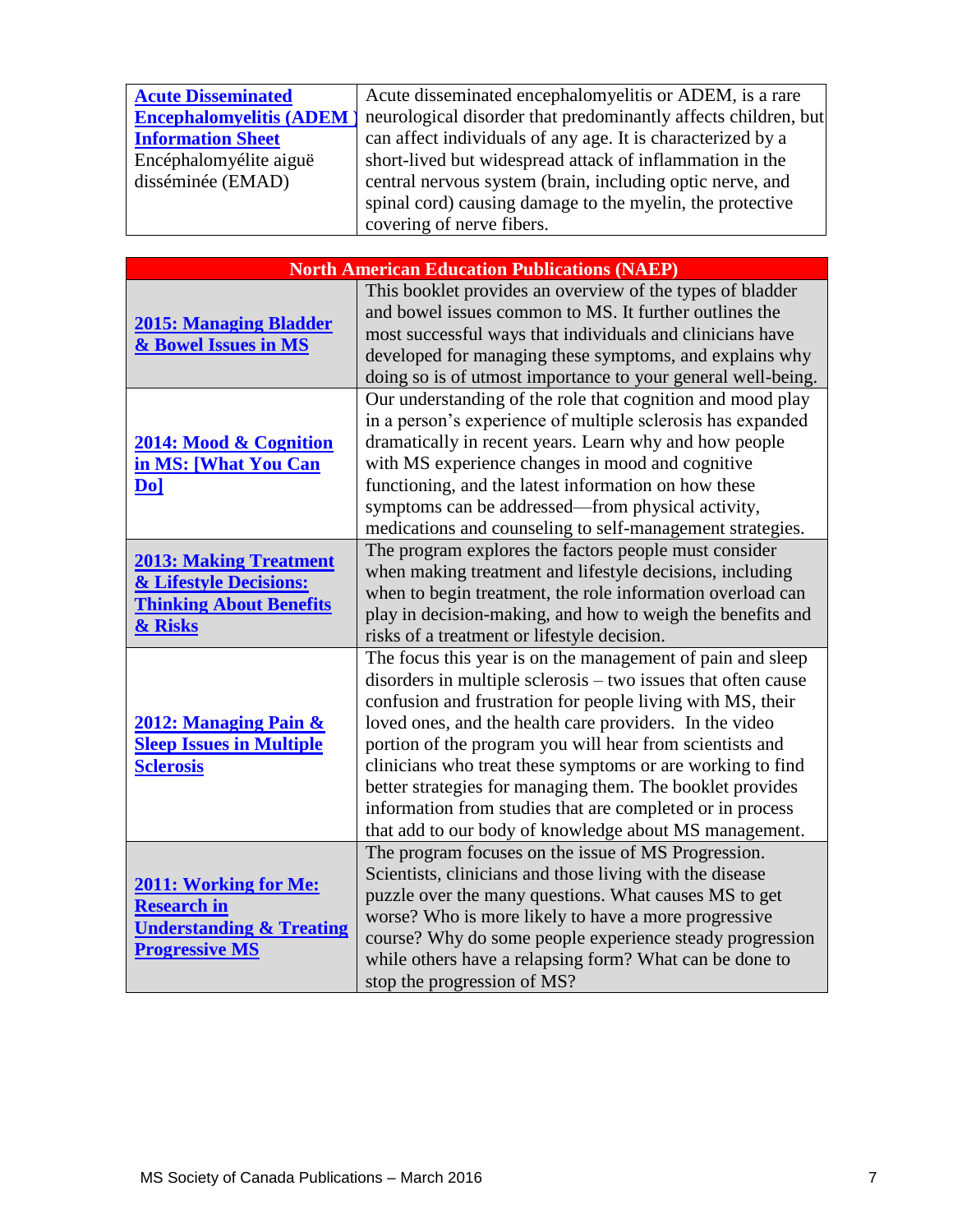| <b>Acute Disseminated</b>      | Acute disseminated encephalomyelitis or ADEM, is a rare        |
|--------------------------------|----------------------------------------------------------------|
| <b>Encephalomyelitis (ADEM</b> | neurological disorder that predominantly affects children, but |
| <b>Information Sheet</b>       | can affect individuals of any age. It is characterized by a    |
| Encéphalomyélite aiguë         | short-lived but widespread attack of inflammation in the       |
| disséminée (EMAD)              | central nervous system (brain, including optic nerve, and      |
|                                | spinal cord) causing damage to the myelin, the protective      |
|                                | covering of nerve fibers.                                      |

| <b>North American Education Publications (NAEP)</b>                                                                |                                                                                                                                                                                                                                                                                                                                                                                                                                                                                                                                                                    |  |  |
|--------------------------------------------------------------------------------------------------------------------|--------------------------------------------------------------------------------------------------------------------------------------------------------------------------------------------------------------------------------------------------------------------------------------------------------------------------------------------------------------------------------------------------------------------------------------------------------------------------------------------------------------------------------------------------------------------|--|--|
| <b>2015: Managing Bladder</b><br>& Bowel Issues in MS                                                              | This booklet provides an overview of the types of bladder<br>and bowel issues common to MS. It further outlines the<br>most successful ways that individuals and clinicians have<br>developed for managing these symptoms, and explains why<br>doing so is of utmost importance to your general well-being.                                                                                                                                                                                                                                                        |  |  |
| 2014: Mood & Cognition<br>in MS: [What You Can<br>Do]                                                              | Our understanding of the role that cognition and mood play<br>in a person's experience of multiple sclerosis has expanded<br>dramatically in recent years. Learn why and how people<br>with MS experience changes in mood and cognitive<br>functioning, and the latest information on how these<br>symptoms can be addressed—from physical activity,<br>medications and counseling to self-management strategies.                                                                                                                                                  |  |  |
| <b>2013: Making Treatment</b><br>& Lifestyle Decisions:<br><b>Thinking About Benefits</b><br>& Risks               | The program explores the factors people must consider<br>when making treatment and lifestyle decisions, including<br>when to begin treatment, the role information overload can<br>play in decision-making, and how to weigh the benefits and<br>risks of a treatment or lifestyle decision.                                                                                                                                                                                                                                                                       |  |  |
| 2012: Managing Pain &<br><b>Sleep Issues in Multiple</b><br><b>Sclerosis</b>                                       | The focus this year is on the management of pain and sleep<br>disorders in multiple sclerosis – two issues that often cause<br>confusion and frustration for people living with MS, their<br>loved ones, and the health care providers. In the video<br>portion of the program you will hear from scientists and<br>clinicians who treat these symptoms or are working to find<br>better strategies for managing them. The booklet provides<br>information from studies that are completed or in process<br>that add to our body of knowledge about MS management. |  |  |
| <b>2011: Working for Me:</b><br><b>Research in</b><br><b>Understanding &amp; Treating</b><br><b>Progressive MS</b> | The program focuses on the issue of MS Progression.<br>Scientists, clinicians and those living with the disease<br>puzzle over the many questions. What causes MS to get<br>worse? Who is more likely to have a more progressive<br>course? Why do some people experience steady progression<br>while others have a relapsing form? What can be done to<br>stop the progression of MS?                                                                                                                                                                             |  |  |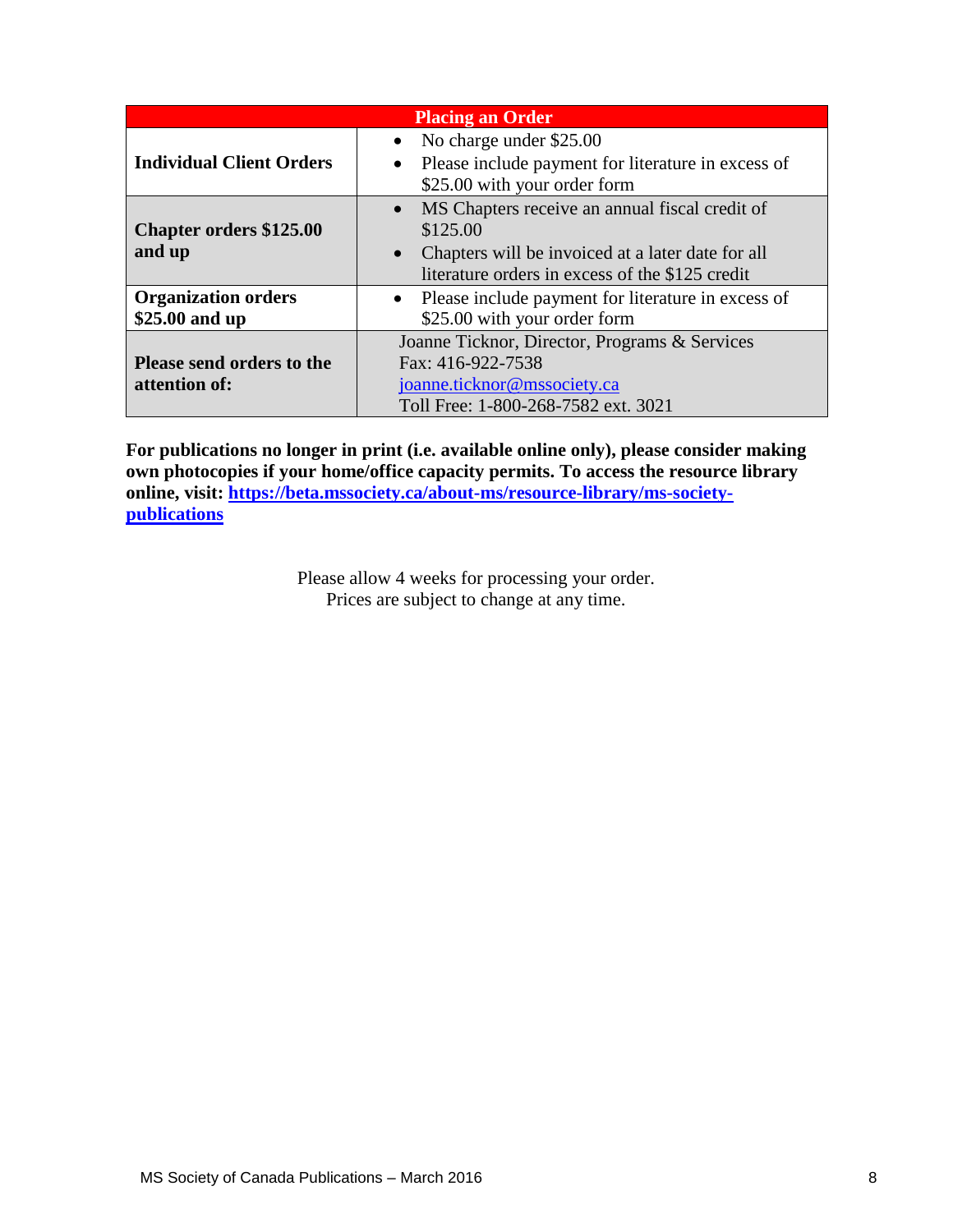| <b>Placing an Order</b>                                                                                                                                                                                          |                                                                                                                                          |  |  |  |  |
|------------------------------------------------------------------------------------------------------------------------------------------------------------------------------------------------------------------|------------------------------------------------------------------------------------------------------------------------------------------|--|--|--|--|
| <b>Individual Client Orders</b>                                                                                                                                                                                  | • No charge under $$25.00$<br>• Please include payment for literature in excess of<br>\$25.00 with your order form                       |  |  |  |  |
| • MS Chapters receive an annual fiscal credit of<br><b>Chapter orders \$125.00</b><br>\$125.00<br>and up<br>Chapters will be invoiced at a later date for all<br>literature orders in excess of the \$125 credit |                                                                                                                                          |  |  |  |  |
| <b>Organization orders</b><br>\$25.00 and up                                                                                                                                                                     | • Please include payment for literature in excess of<br>\$25.00 with your order form                                                     |  |  |  |  |
| Please send orders to the<br>attention of:                                                                                                                                                                       | Joanne Ticknor, Director, Programs & Services<br>Fax: 416-922-7538<br>joanne.ticknor@mssociety.ca<br>Toll Free: 1-800-268-7582 ext. 3021 |  |  |  |  |

**For publications no longer in print (i.e. available online only), please consider making own photocopies if your home/office capacity permits. To access the resource library online, visit: [https://beta.mssociety.ca/about-ms/resource-library/ms-society](https://beta.mssociety.ca/about-ms/resource-library/ms-society-publications)[publications](https://beta.mssociety.ca/about-ms/resource-library/ms-society-publications)**

> Please allow 4 weeks for processing your order. Prices are subject to change at any time.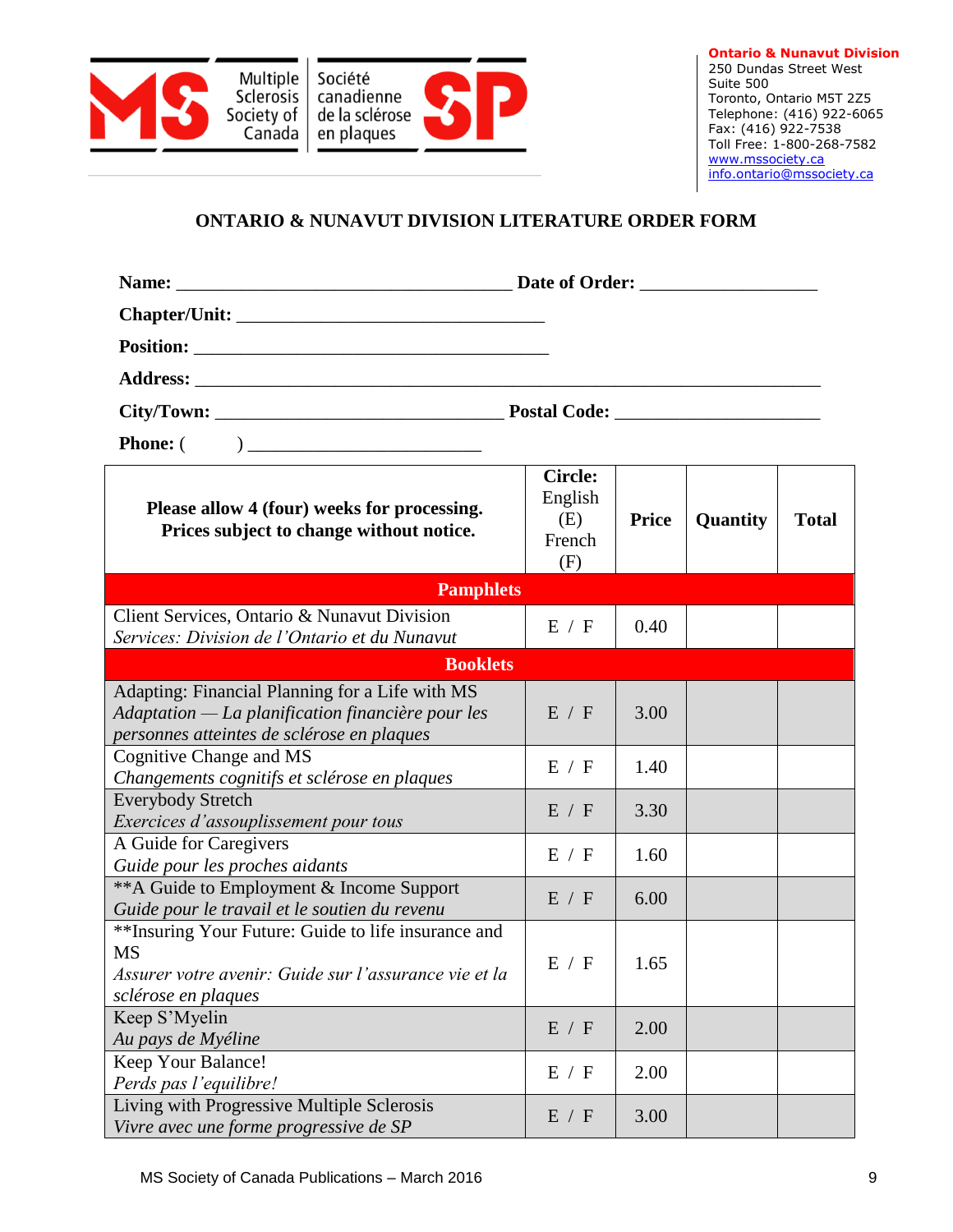

## **ONTARIO & NUNAVUT DIVISION LITERATURE ORDER FORM**

| Please allow 4 (four) weeks for processing.<br>Prices subject to change without notice.                                                            | <b>Circle:</b><br>English<br>(E)<br>French<br>(F) | <b>Price</b> | Quantity | <b>Total</b> |  |
|----------------------------------------------------------------------------------------------------------------------------------------------------|---------------------------------------------------|--------------|----------|--------------|--|
| <b>Pamphlets</b>                                                                                                                                   |                                                   |              |          |              |  |
| Client Services, Ontario & Nunavut Division<br>Services: Division de l'Ontario et du Nunavut                                                       | E / F                                             | 0.40         |          |              |  |
| <b>Booklets</b>                                                                                                                                    |                                                   |              |          |              |  |
| Adapting: Financial Planning for a Life with MS<br>Adaptation — La planification financière pour les<br>personnes atteintes de sclérose en plaques | E / F                                             | 3.00         |          |              |  |
| Cognitive Change and MS<br>Changements cognitifs et sclérose en plaques                                                                            | E / F                                             | 1.40         |          |              |  |
| <b>Everybody Stretch</b><br>Exercices d'assouplissement pour tous                                                                                  | E / F                                             | 3.30         |          |              |  |
| A Guide for Caregivers<br>Guide pour les proches aidants                                                                                           | E / F                                             | 1.60         |          |              |  |
| **A Guide to Employment & Income Support<br>Guide pour le travail et le soutien du revenu                                                          | E / F                                             | 6.00         |          |              |  |
| ** Insuring Your Future: Guide to life insurance and<br><b>MS</b><br>Assurer votre avenir: Guide sur l'assurance vie et la<br>sclérose en plaques  | E / F                                             | 1.65         |          |              |  |
| Keep S'Myelin<br>Au pays de Myéline                                                                                                                | E / F                                             | 2.00         |          |              |  |
| Keep Your Balance!<br>Perds pas l'equilibre!                                                                                                       | E / F                                             | 2.00         |          |              |  |
| Living with Progressive Multiple Sclerosis<br>Vivre avec une forme progressive de SP                                                               | E / F                                             | 3.00         |          |              |  |